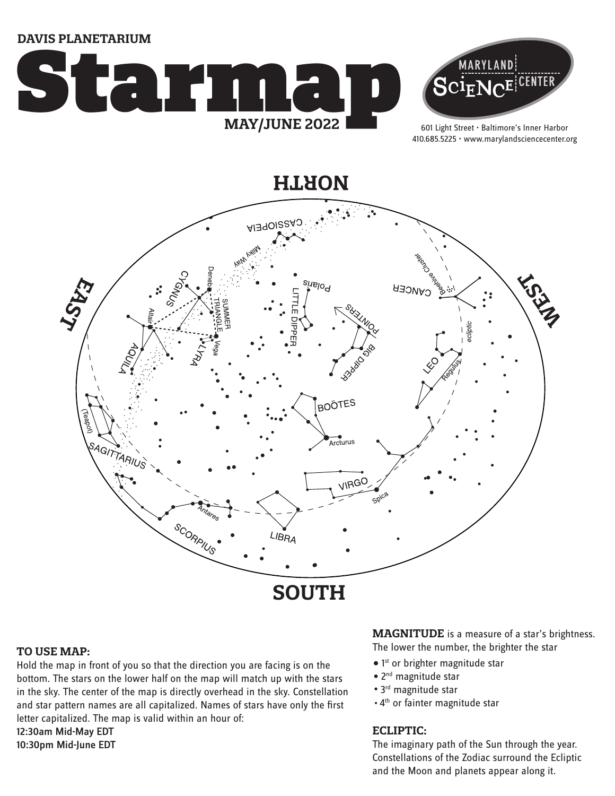**DAVIS PLANETARIUM**





601 Light Street • Baltimore's Inner Harbor 410.685.5225 • www.marylandsciencecenter.org

**NORTH**



#### **TO USE MAP:**

Hold the map in front of you so that the direction you are facing is on the bottom. The stars on the lower half on the map will match up with the stars in the sky. The center of the map is directly overhead in the sky. Constellation and star pattern names are all capitalized. Names of stars have only the first letter capitalized. The map is valid within an hour of: 12:30am Mid-May EDT 10:30pm Mid-June EDT

**MAGNITUDE** is a measure of a star's brightness. The lower the number, the brighter the star

- 1<sup>st</sup> or brighter magnitude star
- 2<sup>nd</sup> magnitude star
- 3<sup>rd</sup> magnitude star
- . 4<sup>th</sup> or fainter magnitude star

## **ECLIPTIC:**

The imaginary path of the Sun through the year. Constellations of the Zodiac surround the Ecliptic and the Moon and planets appear along it.